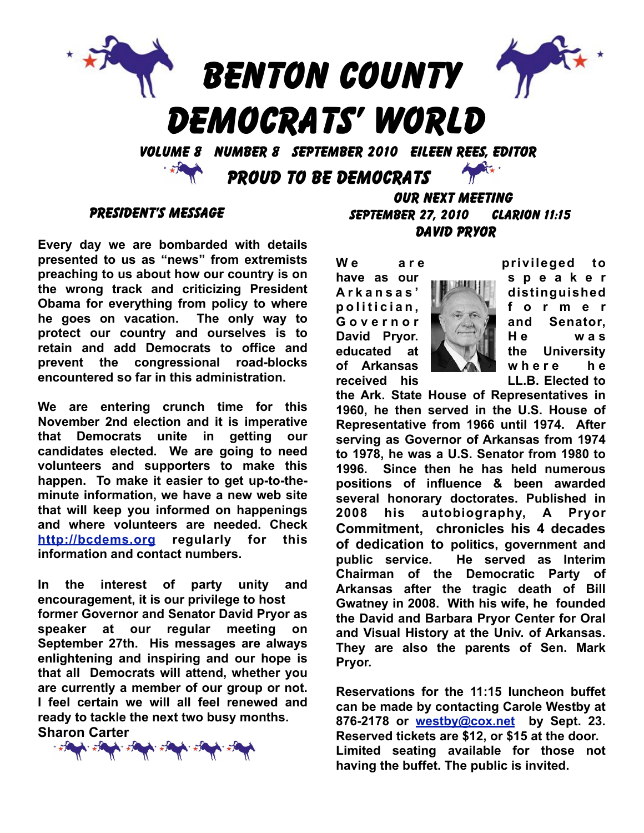

#### PRESIDENT'S MESSAGE

**Every day we are bombarded with details presented to us as "news" from extremists preaching to us about how our country is on the wrong track and criticizing President Obama for everything from policy to where he goes on vacation. The only way to protect our country and ourselves is to retain and add Democrats to office and prevent the congressional road-blocks encountered so far in this administration.** 

**We are entering crunch time for this November 2nd election and it is imperative that Democrats unite in getting our candidates elected. We are going to need volunteers and supporters to make this happen. To make it easier to get up-to-theminute information, we have a new web site that will keep you informed on happenings and where volunteers are needed. Check <http://bcdems.org> regularly for this information and contact numbers.**

**In the interest of party unity and encouragement, it is our privilege to host former Governor and Senator David Pryor as speaker at our regular meeting on September 27th. His messages are always enlightening and inspiring and our hope is that all Democrats will attend, whether you are currently a member of our group or not. I feel certain we will all feel renewed and ready to tackle the next two busy months. Sharon Carter**



### OUR NEXT MEETING SEPTEMBER 27, 2010 Clarion 11:15 david pryor



**W e a r e privileged to have** as our speaker **A r k a n s a s ' distinguished p o l i t i c i a n , f o r m e r G o v e r n o r and Senator, David Prvor. He He was educated at the University of Arkansas with a** *R* **where** he **received his LL.B. Elected to** 

**the Ark. State House of Representatives in 1960, he then served in the U.S. House of Representative from 1966 until 1974. After serving as Governor of Arkansas from 1974 to 1978, he was a U.S. Senator from 1980 to 1996. Since then he has held numerous positions of influence & been awarded several honorary doctorates. Published in 2008 his autobiography, A Pryor Commitment, chronicles his 4 decades of dedication to politics, government and public service. He served as Interim Chairman of the Democratic Party of Arkansas after the tragic death of Bill Gwatney in 2008. With his wife, he founded the David and Barbara Pryor Center for Oral and Visual History at the Univ. of Arkansas. They are also the parents of Sen. Mark Pryor.** 

**Reservations for the 11:15 luncheon buffet can be made by contacting Carole Westby at 876-2178 or [westby@cox.net](mailto:westby@cox.net) by Sept. 23. Reserved tickets are \$12, or \$15 at the door. Limited seating available for those not having the buffet. The public is invited.**